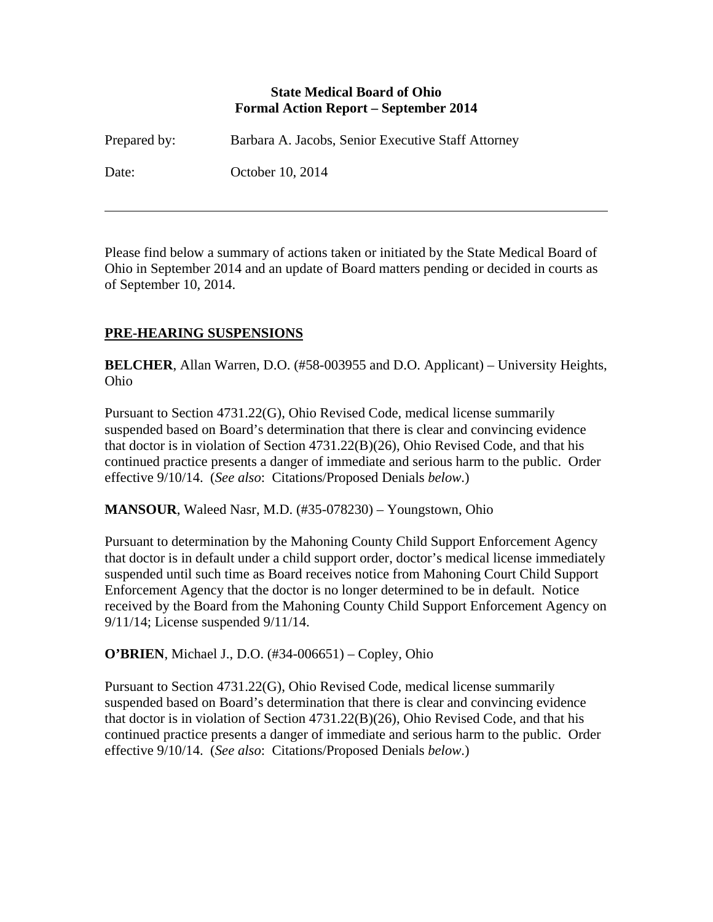### **State Medical Board of Ohio Formal Action Report – September 2014**

| Prepared by: | Barbara A. Jacobs, Senior Executive Staff Attorney |
|--------------|----------------------------------------------------|
| Date:        | October 10, 2014                                   |

Please find below a summary of actions taken or initiated by the State Medical Board of Ohio in September 2014 and an update of Board matters pending or decided in courts as of September 10, 2014.

## **PRE-HEARING SUSPENSIONS**

 $\overline{a}$ 

**BELCHER**, Allan Warren, D.O. (#58-003955 and D.O. Applicant) – University Heights, Ohio

Pursuant to Section 4731.22(G), Ohio Revised Code, medical license summarily suspended based on Board's determination that there is clear and convincing evidence that doctor is in violation of Section 4731.22(B)(26), Ohio Revised Code, and that his continued practice presents a danger of immediate and serious harm to the public. Order effective 9/10/14. (*See also*: Citations/Proposed Denials *below*.)

**MANSOUR**, Waleed Nasr, M.D. (#35-078230) – Youngstown, Ohio

Pursuant to determination by the Mahoning County Child Support Enforcement Agency that doctor is in default under a child support order, doctor's medical license immediately suspended until such time as Board receives notice from Mahoning Court Child Support Enforcement Agency that the doctor is no longer determined to be in default. Notice received by the Board from the Mahoning County Child Support Enforcement Agency on 9/11/14; License suspended 9/11/14.

## **O'BRIEN**, Michael J., D.O. (#34-006651) – Copley, Ohio

Pursuant to Section 4731.22(G), Ohio Revised Code, medical license summarily suspended based on Board's determination that there is clear and convincing evidence that doctor is in violation of Section 4731.22(B)(26), Ohio Revised Code, and that his continued practice presents a danger of immediate and serious harm to the public. Order effective 9/10/14. (*See also*: Citations/Proposed Denials *below*.)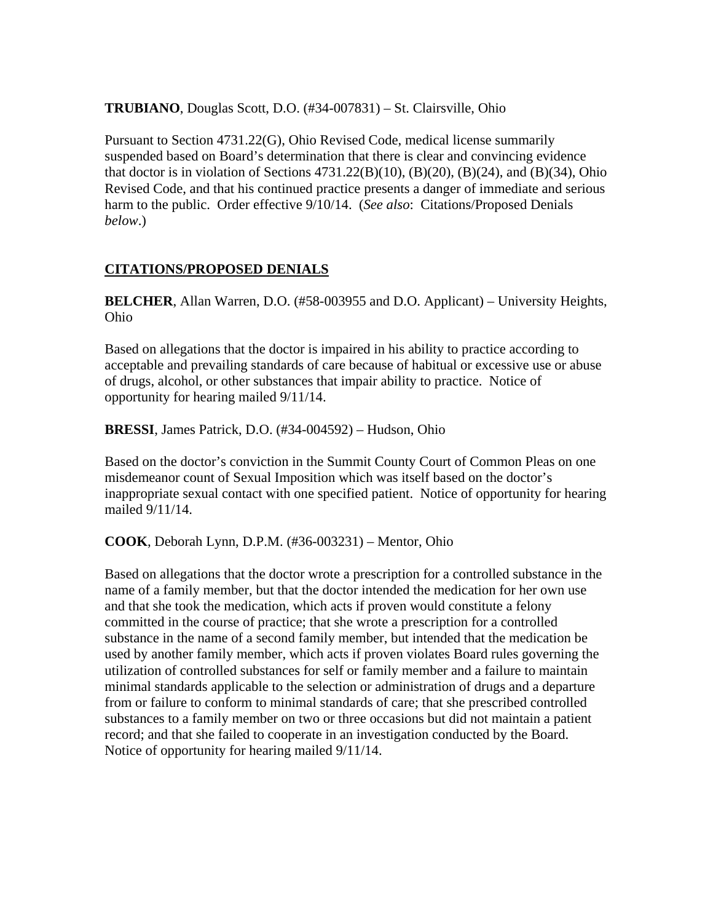**TRUBIANO**, Douglas Scott, D.O. (#34-007831) – St. Clairsville, Ohio

Pursuant to Section 4731.22(G), Ohio Revised Code, medical license summarily suspended based on Board's determination that there is clear and convincing evidence that doctor is in violation of Sections  $4731.22(B)(10)$ ,  $(B)(20)$ ,  $(B)(24)$ , and  $(B)(34)$ , Ohio Revised Code, and that his continued practice presents a danger of immediate and serious harm to the public. Order effective 9/10/14. (*See also*: Citations/Proposed Denials *below*.)

## **CITATIONS/PROPOSED DENIALS**

**BELCHER**, Allan Warren, D.O. (#58-003955 and D.O. Applicant) – University Heights, Ohio

Based on allegations that the doctor is impaired in his ability to practice according to acceptable and prevailing standards of care because of habitual or excessive use or abuse of drugs, alcohol, or other substances that impair ability to practice. Notice of opportunity for hearing mailed 9/11/14.

**BRESSI**, James Patrick, D.O. (#34-004592) – Hudson, Ohio

Based on the doctor's conviction in the Summit County Court of Common Pleas on one misdemeanor count of Sexual Imposition which was itself based on the doctor's inappropriate sexual contact with one specified patient. Notice of opportunity for hearing mailed 9/11/14.

**COOK**, Deborah Lynn, D.P.M. (#36-003231) – Mentor, Ohio

Based on allegations that the doctor wrote a prescription for a controlled substance in the name of a family member, but that the doctor intended the medication for her own use and that she took the medication, which acts if proven would constitute a felony committed in the course of practice; that she wrote a prescription for a controlled substance in the name of a second family member, but intended that the medication be used by another family member, which acts if proven violates Board rules governing the utilization of controlled substances for self or family member and a failure to maintain minimal standards applicable to the selection or administration of drugs and a departure from or failure to conform to minimal standards of care; that she prescribed controlled substances to a family member on two or three occasions but did not maintain a patient record; and that she failed to cooperate in an investigation conducted by the Board. Notice of opportunity for hearing mailed 9/11/14.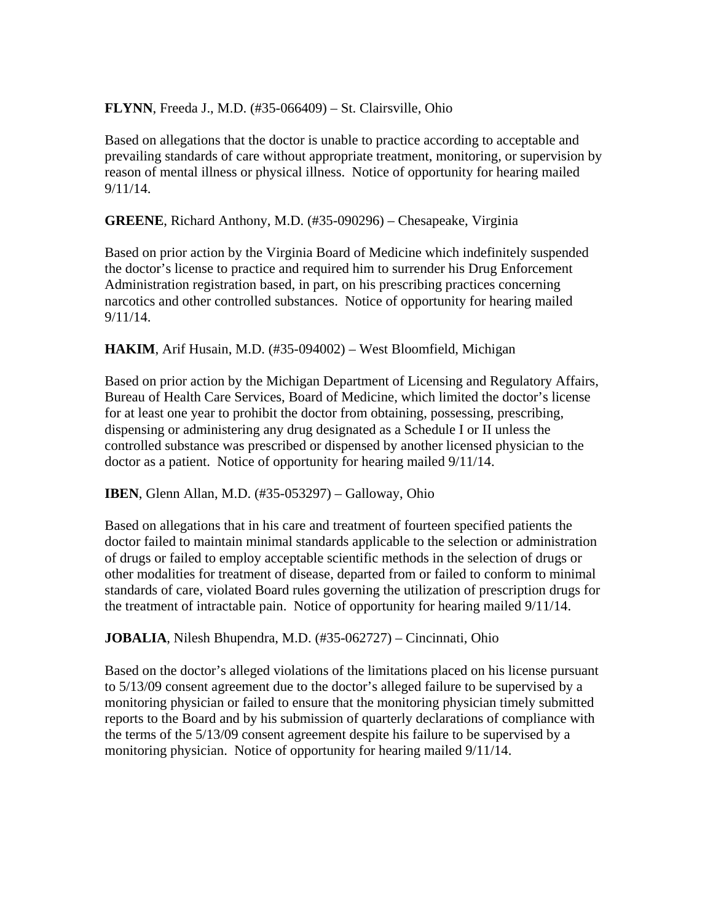**FLYNN**, Freeda J., M.D. (#35-066409) – St. Clairsville, Ohio

Based on allegations that the doctor is unable to practice according to acceptable and prevailing standards of care without appropriate treatment, monitoring, or supervision by reason of mental illness or physical illness. Notice of opportunity for hearing mailed 9/11/14.

**GREENE**, Richard Anthony, M.D. (#35-090296) – Chesapeake, Virginia

Based on prior action by the Virginia Board of Medicine which indefinitely suspended the doctor's license to practice and required him to surrender his Drug Enforcement Administration registration based, in part, on his prescribing practices concerning narcotics and other controlled substances. Notice of opportunity for hearing mailed 9/11/14.

**HAKIM**, Arif Husain, M.D. (#35-094002) – West Bloomfield, Michigan

Based on prior action by the Michigan Department of Licensing and Regulatory Affairs, Bureau of Health Care Services, Board of Medicine, which limited the doctor's license for at least one year to prohibit the doctor from obtaining, possessing, prescribing, dispensing or administering any drug designated as a Schedule I or II unless the controlled substance was prescribed or dispensed by another licensed physician to the doctor as a patient. Notice of opportunity for hearing mailed 9/11/14.

**IBEN**, Glenn Allan, M.D. (#35-053297) – Galloway, Ohio

Based on allegations that in his care and treatment of fourteen specified patients the doctor failed to maintain minimal standards applicable to the selection or administration of drugs or failed to employ acceptable scientific methods in the selection of drugs or other modalities for treatment of disease, departed from or failed to conform to minimal standards of care, violated Board rules governing the utilization of prescription drugs for the treatment of intractable pain. Notice of opportunity for hearing mailed 9/11/14.

**JOBALIA**, Nilesh Bhupendra, M.D. (#35-062727) – Cincinnati, Ohio

Based on the doctor's alleged violations of the limitations placed on his license pursuant to 5/13/09 consent agreement due to the doctor's alleged failure to be supervised by a monitoring physician or failed to ensure that the monitoring physician timely submitted reports to the Board and by his submission of quarterly declarations of compliance with the terms of the 5/13/09 consent agreement despite his failure to be supervised by a monitoring physician. Notice of opportunity for hearing mailed 9/11/14.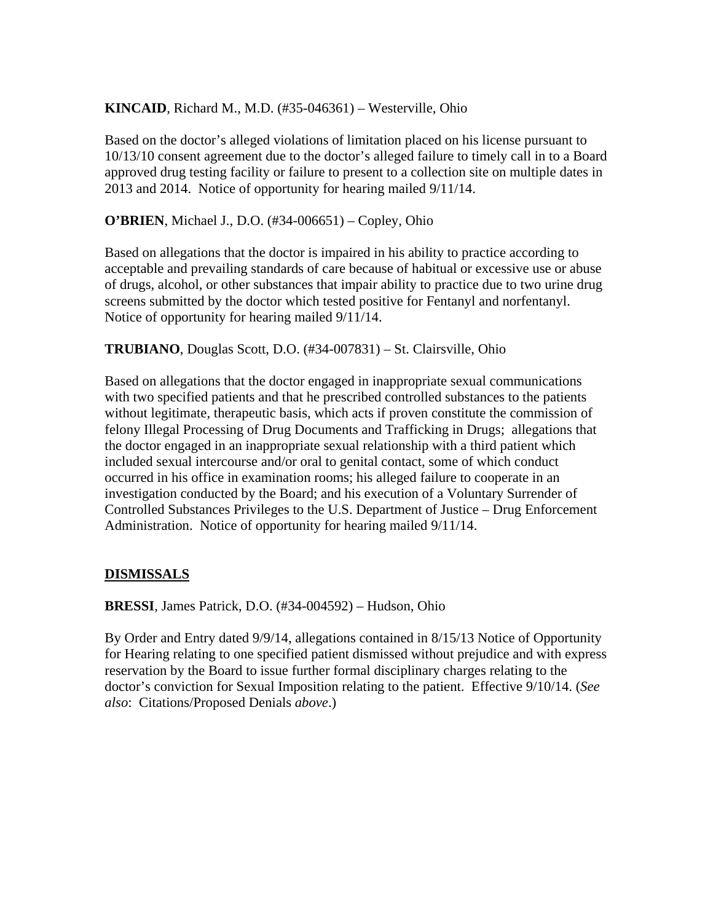## **KINCAID**, Richard M., M.D. (#35-046361) – Westerville, Ohio

Based on the doctor's alleged violations of limitation placed on his license pursuant to 10/13/10 consent agreement due to the doctor's alleged failure to timely call in to a Board approved drug testing facility or failure to present to a collection site on multiple dates in 2013 and 2014. Notice of opportunity for hearing mailed 9/11/14.

**O'BRIEN**, Michael J., D.O. (#34-006651) – Copley, Ohio

Based on allegations that the doctor is impaired in his ability to practice according to acceptable and prevailing standards of care because of habitual or excessive use or abuse of drugs, alcohol, or other substances that impair ability to practice due to two urine drug screens submitted by the doctor which tested positive for Fentanyl and norfentanyl. Notice of opportunity for hearing mailed 9/11/14.

**TRUBIANO**, Douglas Scott, D.O. (#34-007831) – St. Clairsville, Ohio

Based on allegations that the doctor engaged in inappropriate sexual communications with two specified patients and that he prescribed controlled substances to the patients without legitimate, therapeutic basis, which acts if proven constitute the commission of felony Illegal Processing of Drug Documents and Trafficking in Drugs; allegations that the doctor engaged in an inappropriate sexual relationship with a third patient which included sexual intercourse and/or oral to genital contact, some of which conduct occurred in his office in examination rooms; his alleged failure to cooperate in an investigation conducted by the Board; and his execution of a Voluntary Surrender of Controlled Substances Privileges to the U.S. Department of Justice – Drug Enforcement Administration. Notice of opportunity for hearing mailed 9/11/14.

## **DISMISSALS**

**BRESSI**, James Patrick, D.O. (#34-004592) – Hudson, Ohio

By Order and Entry dated 9/9/14, allegations contained in 8/15/13 Notice of Opportunity for Hearing relating to one specified patient dismissed without prejudice and with express reservation by the Board to issue further formal disciplinary charges relating to the doctor's conviction for Sexual Imposition relating to the patient. Effective 9/10/14. (*See also*: Citations/Proposed Denials *above*.)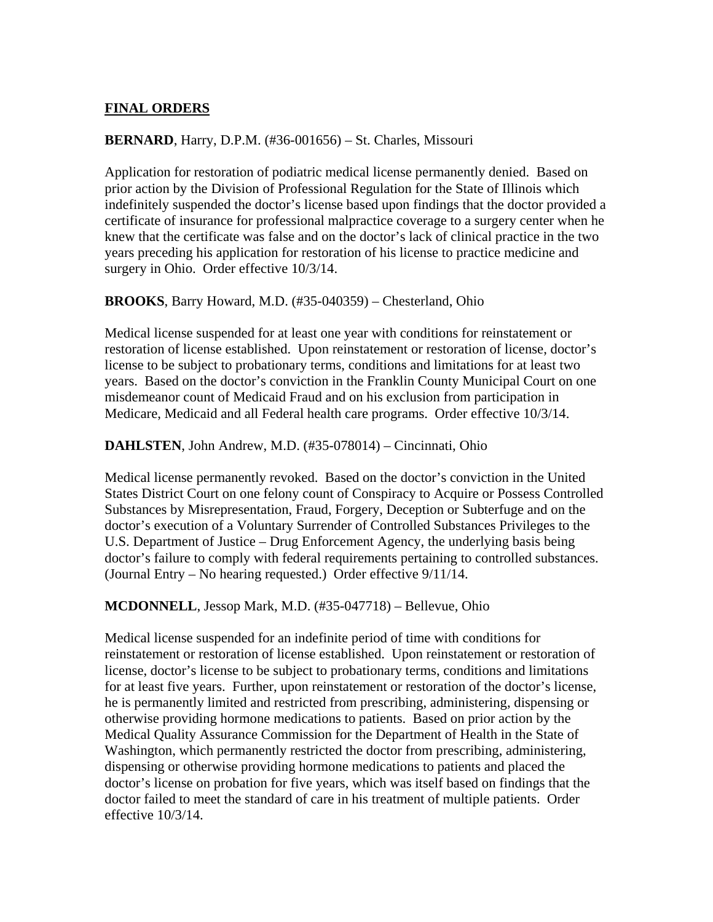## **FINAL ORDERS**

## **BERNARD**, Harry, D.P.M. (#36-001656) – St. Charles, Missouri

Application for restoration of podiatric medical license permanently denied. Based on prior action by the Division of Professional Regulation for the State of Illinois which indefinitely suspended the doctor's license based upon findings that the doctor provided a certificate of insurance for professional malpractice coverage to a surgery center when he knew that the certificate was false and on the doctor's lack of clinical practice in the two years preceding his application for restoration of his license to practice medicine and surgery in Ohio. Order effective 10/3/14.

## **BROOKS**, Barry Howard, M.D. (#35-040359) – Chesterland, Ohio

Medical license suspended for at least one year with conditions for reinstatement or restoration of license established. Upon reinstatement or restoration of license, doctor's license to be subject to probationary terms, conditions and limitations for at least two years. Based on the doctor's conviction in the Franklin County Municipal Court on one misdemeanor count of Medicaid Fraud and on his exclusion from participation in Medicare, Medicaid and all Federal health care programs. Order effective 10/3/14.

## **DAHLSTEN**, John Andrew, M.D. (#35-078014) – Cincinnati, Ohio

Medical license permanently revoked. Based on the doctor's conviction in the United States District Court on one felony count of Conspiracy to Acquire or Possess Controlled Substances by Misrepresentation, Fraud, Forgery, Deception or Subterfuge and on the doctor's execution of a Voluntary Surrender of Controlled Substances Privileges to the U.S. Department of Justice – Drug Enforcement Agency, the underlying basis being doctor's failure to comply with federal requirements pertaining to controlled substances. (Journal Entry – No hearing requested.) Order effective 9/11/14.

**MCDONNELL**, Jessop Mark, M.D. (#35-047718) – Bellevue, Ohio

Medical license suspended for an indefinite period of time with conditions for reinstatement or restoration of license established. Upon reinstatement or restoration of license, doctor's license to be subject to probationary terms, conditions and limitations for at least five years. Further, upon reinstatement or restoration of the doctor's license, he is permanently limited and restricted from prescribing, administering, dispensing or otherwise providing hormone medications to patients. Based on prior action by the Medical Quality Assurance Commission for the Department of Health in the State of Washington, which permanently restricted the doctor from prescribing, administering, dispensing or otherwise providing hormone medications to patients and placed the doctor's license on probation for five years, which was itself based on findings that the doctor failed to meet the standard of care in his treatment of multiple patients. Order effective 10/3/14.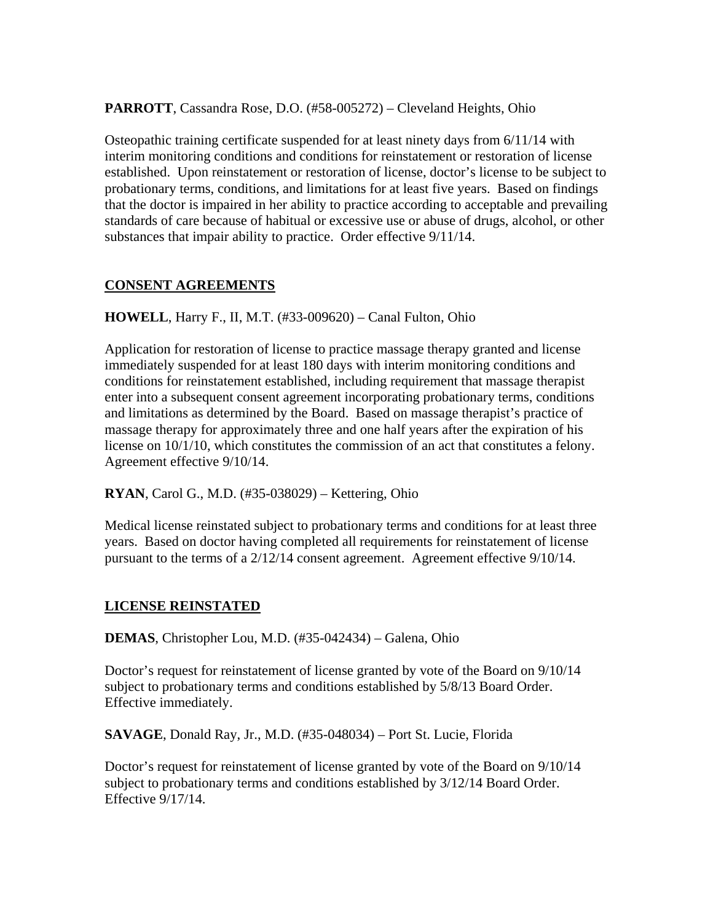**PARROTT**, Cassandra Rose, D.O. (#58-005272) – Cleveland Heights, Ohio

Osteopathic training certificate suspended for at least ninety days from 6/11/14 with interim monitoring conditions and conditions for reinstatement or restoration of license established. Upon reinstatement or restoration of license, doctor's license to be subject to probationary terms, conditions, and limitations for at least five years. Based on findings that the doctor is impaired in her ability to practice according to acceptable and prevailing standards of care because of habitual or excessive use or abuse of drugs, alcohol, or other substances that impair ability to practice. Order effective 9/11/14.

## **CONSENT AGREEMENTS**

**HOWELL**, Harry F., II, M.T. (#33-009620) – Canal Fulton, Ohio

Application for restoration of license to practice massage therapy granted and license immediately suspended for at least 180 days with interim monitoring conditions and conditions for reinstatement established, including requirement that massage therapist enter into a subsequent consent agreement incorporating probationary terms, conditions and limitations as determined by the Board. Based on massage therapist's practice of massage therapy for approximately three and one half years after the expiration of his license on 10/1/10, which constitutes the commission of an act that constitutes a felony. Agreement effective 9/10/14.

**RYAN**, Carol G., M.D. (#35-038029) – Kettering, Ohio

Medical license reinstated subject to probationary terms and conditions for at least three years. Based on doctor having completed all requirements for reinstatement of license pursuant to the terms of a 2/12/14 consent agreement. Agreement effective 9/10/14.

#### **LICENSE REINSTATED**

**DEMAS**, Christopher Lou, M.D. (#35-042434) – Galena, Ohio

Doctor's request for reinstatement of license granted by vote of the Board on 9/10/14 subject to probationary terms and conditions established by 5/8/13 Board Order. Effective immediately.

**SAVAGE**, Donald Ray, Jr., M.D. (#35-048034) – Port St. Lucie, Florida

Doctor's request for reinstatement of license granted by vote of the Board on 9/10/14 subject to probationary terms and conditions established by 3/12/14 Board Order. Effective 9/17/14.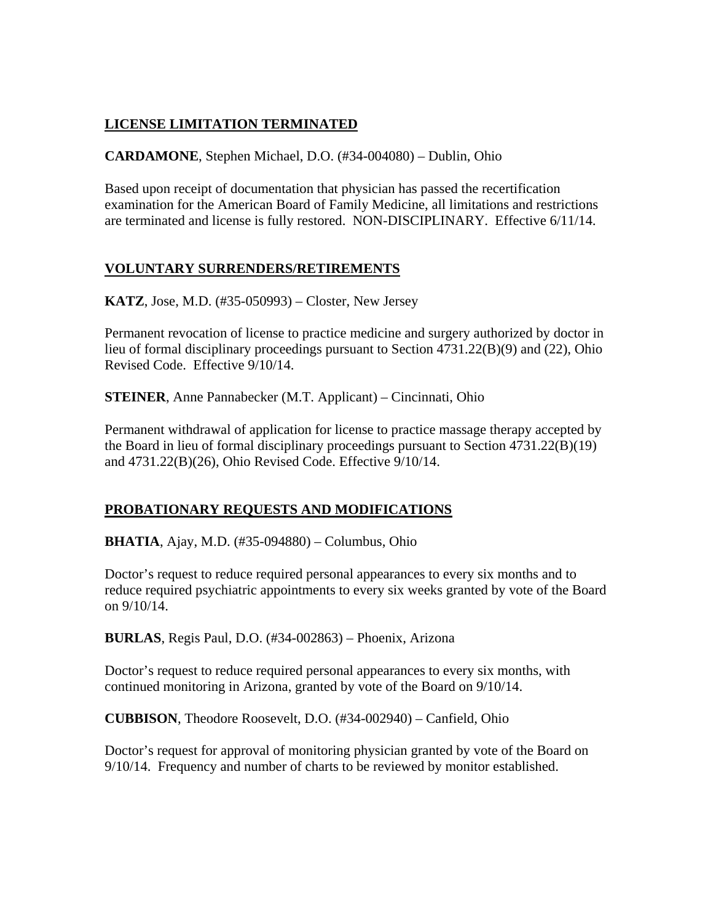# **LICENSE LIMITATION TERMINATED**

**CARDAMONE**, Stephen Michael, D.O. (#34-004080) – Dublin, Ohio

Based upon receipt of documentation that physician has passed the recertification examination for the American Board of Family Medicine, all limitations and restrictions are terminated and license is fully restored. NON-DISCIPLINARY. Effective 6/11/14.

## **VOLUNTARY SURRENDERS/RETIREMENTS**

**KATZ**, Jose, M.D. (#35-050993) – Closter, New Jersey

Permanent revocation of license to practice medicine and surgery authorized by doctor in lieu of formal disciplinary proceedings pursuant to Section 4731.22(B)(9) and (22), Ohio Revised Code. Effective 9/10/14.

**STEINER**, Anne Pannabecker (M.T. Applicant) – Cincinnati, Ohio

Permanent withdrawal of application for license to practice massage therapy accepted by the Board in lieu of formal disciplinary proceedings pursuant to Section 4731.22(B)(19) and 4731.22(B)(26), Ohio Revised Code. Effective 9/10/14.

# **PROBATIONARY REQUESTS AND MODIFICATIONS**

**BHATIA**, Ajay, M.D. (#35-094880) – Columbus, Ohio

Doctor's request to reduce required personal appearances to every six months and to reduce required psychiatric appointments to every six weeks granted by vote of the Board on 9/10/14.

**BURLAS**, Regis Paul, D.O. (#34-002863) – Phoenix, Arizona

Doctor's request to reduce required personal appearances to every six months, with continued monitoring in Arizona, granted by vote of the Board on 9/10/14.

**CUBBISON**, Theodore Roosevelt, D.O. (#34-002940) – Canfield, Ohio

Doctor's request for approval of monitoring physician granted by vote of the Board on 9/10/14. Frequency and number of charts to be reviewed by monitor established.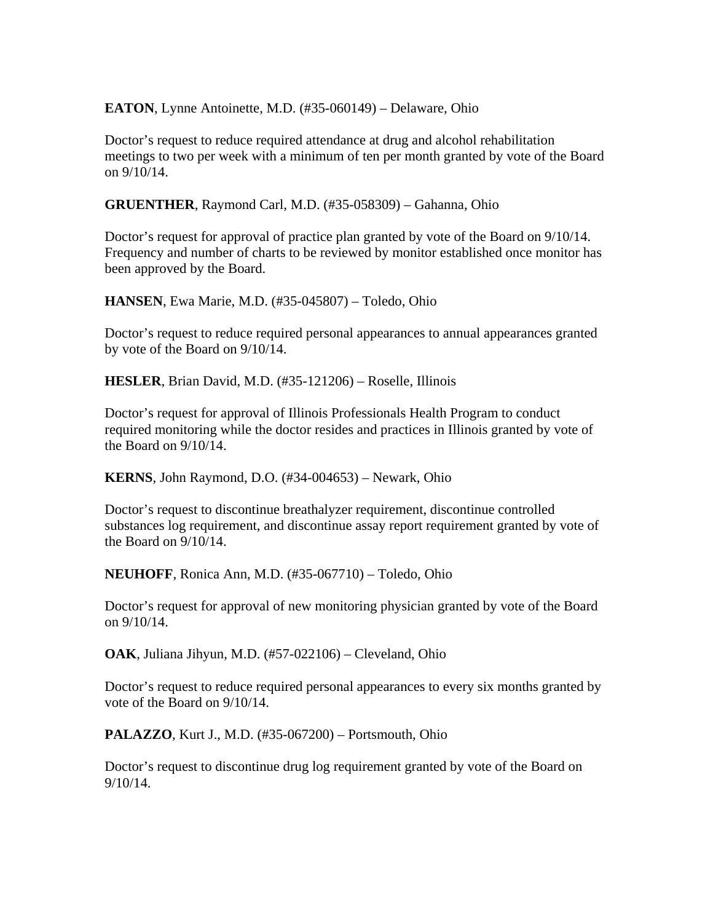**EATON**, Lynne Antoinette, M.D. (#35-060149) – Delaware, Ohio

Doctor's request to reduce required attendance at drug and alcohol rehabilitation meetings to two per week with a minimum of ten per month granted by vote of the Board on 9/10/14.

**GRUENTHER**, Raymond Carl, M.D. (#35-058309) – Gahanna, Ohio

Doctor's request for approval of practice plan granted by vote of the Board on 9/10/14. Frequency and number of charts to be reviewed by monitor established once monitor has been approved by the Board.

**HANSEN**, Ewa Marie, M.D. (#35-045807) – Toledo, Ohio

Doctor's request to reduce required personal appearances to annual appearances granted by vote of the Board on 9/10/14.

**HESLER**, Brian David, M.D. (#35-121206) – Roselle, Illinois

Doctor's request for approval of Illinois Professionals Health Program to conduct required monitoring while the doctor resides and practices in Illinois granted by vote of the Board on 9/10/14.

**KERNS**, John Raymond, D.O. (#34-004653) – Newark, Ohio

Doctor's request to discontinue breathalyzer requirement, discontinue controlled substances log requirement, and discontinue assay report requirement granted by vote of the Board on 9/10/14.

**NEUHOFF**, Ronica Ann, M.D. (#35-067710) – Toledo, Ohio

Doctor's request for approval of new monitoring physician granted by vote of the Board on 9/10/14.

**OAK**, Juliana Jihyun, M.D. (#57-022106) – Cleveland, Ohio

Doctor's request to reduce required personal appearances to every six months granted by vote of the Board on 9/10/14.

**PALAZZO**, Kurt J., M.D. (#35-067200) – Portsmouth, Ohio

Doctor's request to discontinue drug log requirement granted by vote of the Board on 9/10/14.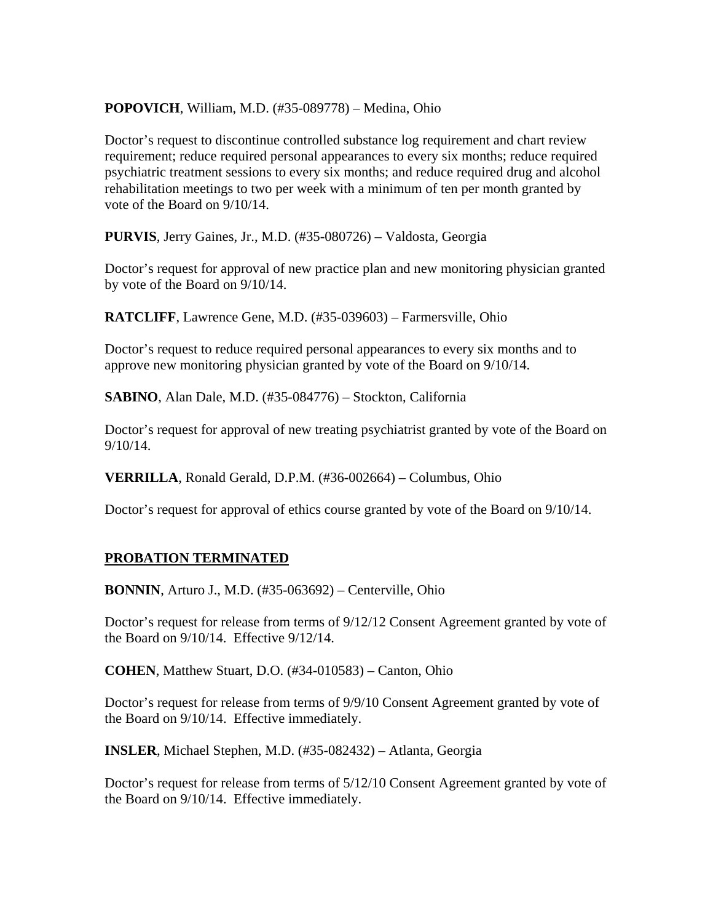## **POPOVICH**, William, M.D. (#35-089778) – Medina, Ohio

Doctor's request to discontinue controlled substance log requirement and chart review requirement; reduce required personal appearances to every six months; reduce required psychiatric treatment sessions to every six months; and reduce required drug and alcohol rehabilitation meetings to two per week with a minimum of ten per month granted by vote of the Board on 9/10/14.

**PURVIS**, Jerry Gaines, Jr., M.D. (#35-080726) – Valdosta, Georgia

Doctor's request for approval of new practice plan and new monitoring physician granted by vote of the Board on 9/10/14.

**RATCLIFF**, Lawrence Gene, M.D. (#35-039603) – Farmersville, Ohio

Doctor's request to reduce required personal appearances to every six months and to approve new monitoring physician granted by vote of the Board on 9/10/14.

**SABINO**, Alan Dale, M.D. (#35-084776) – Stockton, California

Doctor's request for approval of new treating psychiatrist granted by vote of the Board on 9/10/14.

**VERRILLA**, Ronald Gerald, D.P.M. (#36-002664) – Columbus, Ohio

Doctor's request for approval of ethics course granted by vote of the Board on 9/10/14.

## **PROBATION TERMINATED**

**BONNIN**, Arturo J., M.D. (#35-063692) – Centerville, Ohio

Doctor's request for release from terms of 9/12/12 Consent Agreement granted by vote of the Board on 9/10/14. Effective 9/12/14.

**COHEN**, Matthew Stuart, D.O. (#34-010583) – Canton, Ohio

Doctor's request for release from terms of 9/9/10 Consent Agreement granted by vote of the Board on 9/10/14. Effective immediately.

**INSLER**, Michael Stephen, M.D. (#35-082432) – Atlanta, Georgia

Doctor's request for release from terms of 5/12/10 Consent Agreement granted by vote of the Board on 9/10/14. Effective immediately.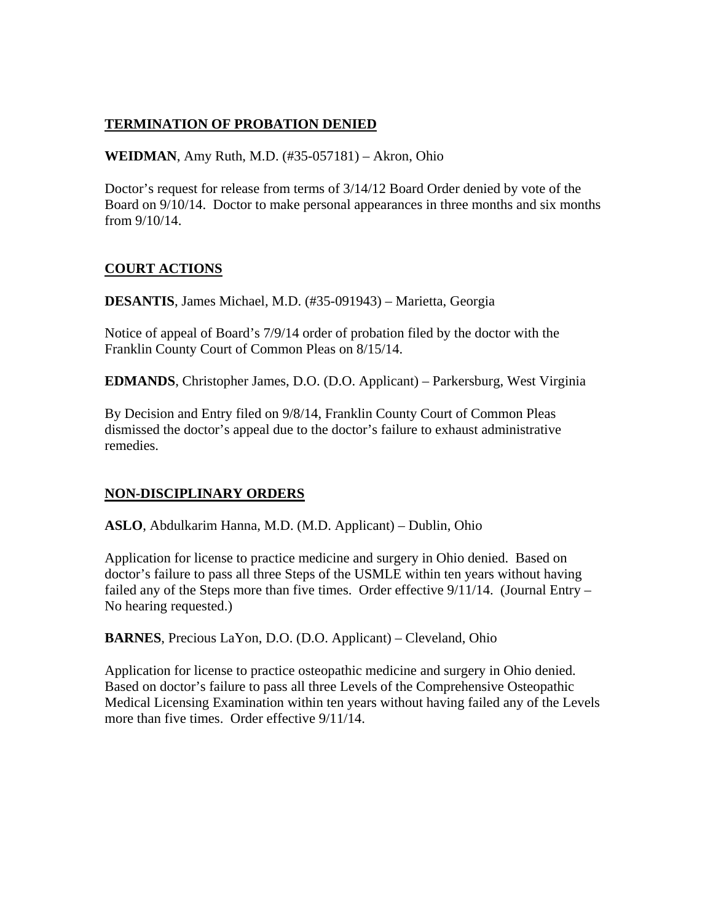## **TERMINATION OF PROBATION DENIED**

**WEIDMAN**, Amy Ruth, M.D. (#35-057181) – Akron, Ohio

Doctor's request for release from terms of 3/14/12 Board Order denied by vote of the Board on 9/10/14. Doctor to make personal appearances in three months and six months from 9/10/14.

## **COURT ACTIONS**

**DESANTIS**, James Michael, M.D. (#35-091943) – Marietta, Georgia

Notice of appeal of Board's 7/9/14 order of probation filed by the doctor with the Franklin County Court of Common Pleas on 8/15/14.

**EDMANDS**, Christopher James, D.O. (D.O. Applicant) – Parkersburg, West Virginia

By Decision and Entry filed on 9/8/14, Franklin County Court of Common Pleas dismissed the doctor's appeal due to the doctor's failure to exhaust administrative remedies.

## **NON-DISCIPLINARY ORDERS**

**ASLO**, Abdulkarim Hanna, M.D. (M.D. Applicant) – Dublin, Ohio

Application for license to practice medicine and surgery in Ohio denied. Based on doctor's failure to pass all three Steps of the USMLE within ten years without having failed any of the Steps more than five times. Order effective  $9/11/14$ . (Journal Entry – No hearing requested.)

**BARNES**, Precious LaYon, D.O. (D.O. Applicant) – Cleveland, Ohio

Application for license to practice osteopathic medicine and surgery in Ohio denied. Based on doctor's failure to pass all three Levels of the Comprehensive Osteopathic Medical Licensing Examination within ten years without having failed any of the Levels more than five times. Order effective  $9/11/14$ .